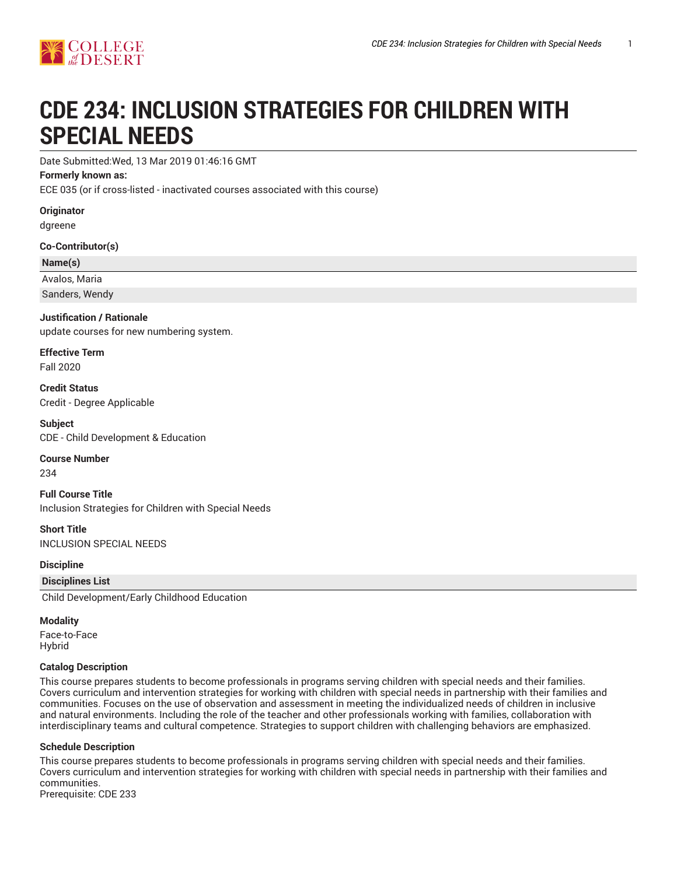

# **CDE 234: INCLUSION STRATEGIES FOR CHILDREN WITH SPECIAL NEEDS**

Date Submitted:Wed, 13 Mar 2019 01:46:16 GMT

# **Formerly known as:**

ECE 035 (or if cross-listed - inactivated courses associated with this course)

**Originator**

dgreene

**Co-Contributor(s)**

# **Name(s)**

Avalos, Maria

Sanders, Wendy

# **Justification / Rationale**

update courses for new numbering system.

**Effective Term** Fall 2020

**Credit Status** Credit - Degree Applicable

**Subject** CDE - Child Development & Education

**Course Number** 234

**Full Course Title** Inclusion Strategies for Children with Special Needs

**Short Title** INCLUSION SPECIAL NEEDS

**Discipline**

**Disciplines List**

Child Development/Early Childhood Education

# **Modality**

Face-to-Face Hybrid

# **Catalog Description**

This course prepares students to become professionals in programs serving children with special needs and their families. Covers curriculum and intervention strategies for working with children with special needs in partnership with their families and communities. Focuses on the use of observation and assessment in meeting the individualized needs of children in inclusive and natural environments. Including the role of the teacher and other professionals working with families, collaboration with interdisciplinary teams and cultural competence. Strategies to support children with challenging behaviors are emphasized.

# **Schedule Description**

This course prepares students to become professionals in programs serving children with special needs and their families. Covers curriculum and intervention strategies for working with children with special needs in partnership with their families and communities. Prerequisite: CDE 233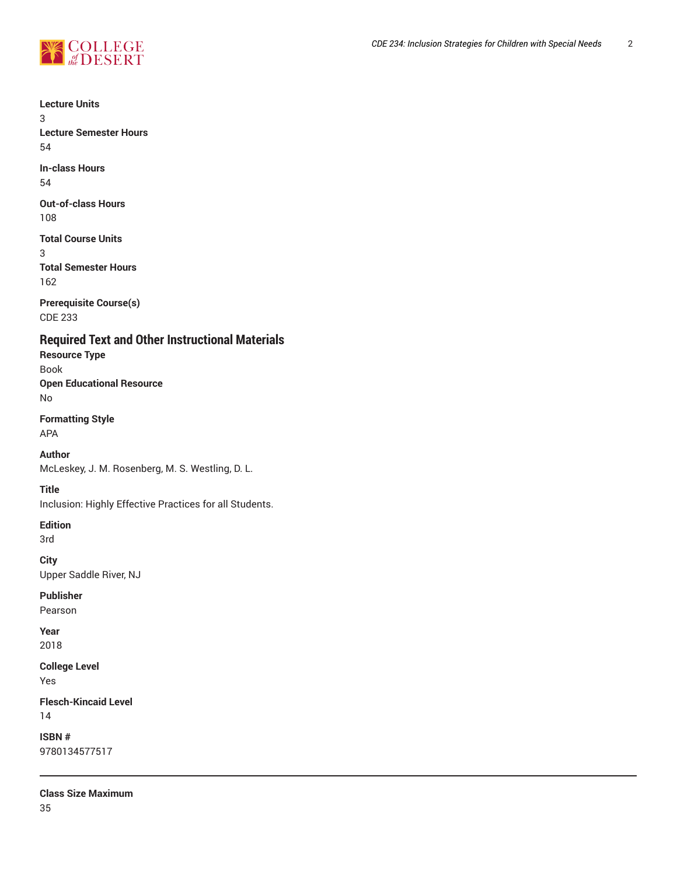

**Lecture Units**

3

**Lecture Semester Hours** 54

**In-class Hours** 54

**Out-of-class Hours** 108

**Total Course Units** 3 **Total Semester Hours** 162

**Prerequisite Course(s)** CDE 233

**Required Text and Other Instructional Materials**

**Resource Type** Book **Open Educational Resource** No

**Formatting Style** APA

**Author** McLeskey, J. M. Rosenberg, M. S. Westling, D. L.

**Title**

Inclusion: Highly Effective Practices for all Students.

**Edition**

3rd

**City** Upper Saddle River, NJ

**Publisher**

Pearson

**Year** 2018

**College Level** Yes

**Flesch-Kincaid Level** 14

**ISBN #** 9780134577517

**Class Size Maximum** 35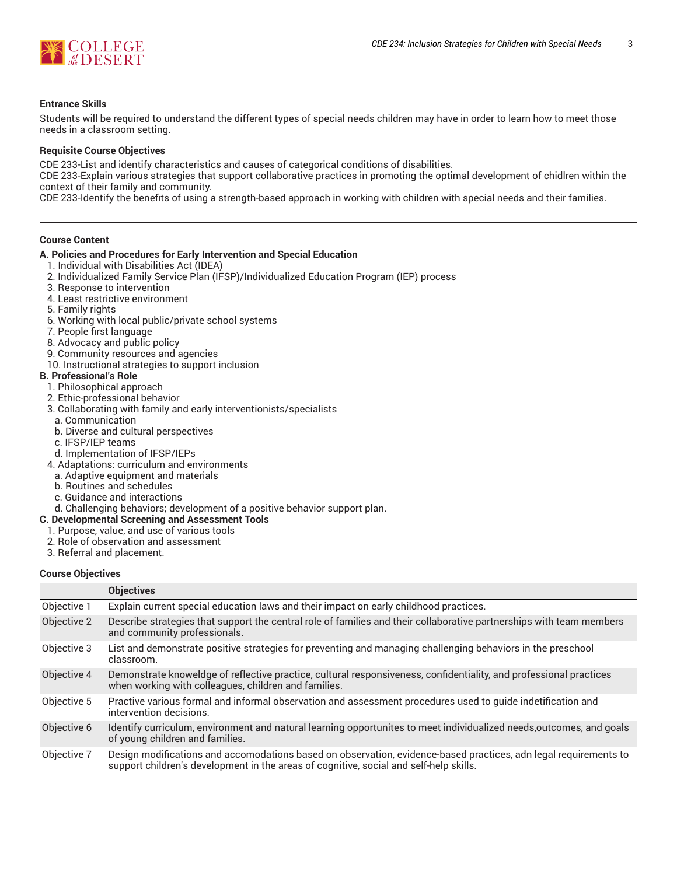

# **Entrance Skills**

Students will be required to understand the different types of special needs children may have in order to learn how to meet those needs in a classroom setting.

#### **Requisite Course Objectives**

CDE 233-List and identify characteristics and causes of categorical conditions of disabilities.

CDE 233-Explain various strategies that support collaborative practices in promoting the optimal development of chidlren within the context of their family and community.

CDE 233-Identify the benefits of using a strength-based approach in working with children with special needs and their families.

#### **Course Content**

#### **A. Policies and Procedures for Early Intervention and Special Education**

- 1. Individual with Disabilities Act (IDEA)
- 2. Individualized Family Service Plan (IFSP)/Individualized Education Program (IEP) process
- 3. Response to intervention
- 4. Least restrictive environment
- 5. Family rights
- 6. Working with local public/private school systems
- 7. People first language
- 8. Advocacy and public policy
- 9. Community resources and agencies
- 10. Instructional strategies to support inclusion

## **B. Professional's Role**

- 1. Philosophical approach
- 2. Ethic-professional behavior
- 3. Collaborating with family and early interventionists/specialists
- a. Communication
- b. Diverse and cultural perspectives
- c. IFSP/IEP teams
- d. Implementation of IFSP/IEPs
- 4. Adaptations: curriculum and environments
- a. Adaptive equipment and materials
- b. Routines and schedules
- c. Guidance and interactions
- d. Challenging behaviors; development of a positive behavior support plan.
- **C. Developmental Screening and Assessment Tools**
	- 1. Purpose, value, and use of various tools
	- 2. Role of observation and assessment
	- 3. Referral and placement.

#### **Course Objectives**

|             | <b>Objectives</b>                                                                                                                                                                                          |
|-------------|------------------------------------------------------------------------------------------------------------------------------------------------------------------------------------------------------------|
| Objective 1 | Explain current special education laws and their impact on early childhood practices.                                                                                                                      |
| Objective 2 | Describe strategies that support the central role of families and their collaborative partnerships with team members<br>and community professionals.                                                       |
| Objective 3 | List and demonstrate positive strategies for preventing and managing challenging behaviors in the preschool<br>classroom.                                                                                  |
| Objective 4 | Demonstrate knoweldge of reflective practice, cultural responsiveness, confidentiality, and professional practices<br>when working with colleagues, children and families.                                 |
| Objective 5 | Practive various formal and informal observation and assessment procedures used to quide indetification and<br>intervention decisions.                                                                     |
| Objective 6 | Identify curriculum, environment and natural learning opportunites to meet individualized needs, outcomes, and goals<br>of young children and families.                                                    |
| Objective 7 | Design modifications and accomodations based on observation, evidence-based practices, adn legal requirements to<br>support children's development in the areas of cognitive, social and self-help skills. |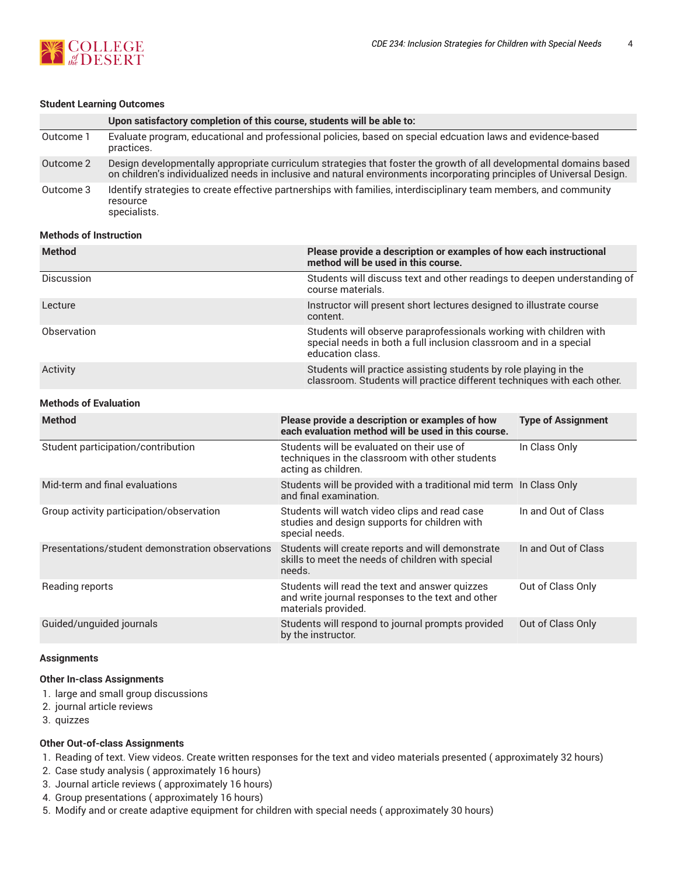

#### **Student Learning Outcomes**

|           | Upon satisfactory completion of this course, students will be able to:                                                                                                                                                                       |
|-----------|----------------------------------------------------------------------------------------------------------------------------------------------------------------------------------------------------------------------------------------------|
| Outcome 1 | Evaluate program, educational and professional policies, based on special edcuation laws and evidence-based<br>practices.                                                                                                                    |
| Outcome 2 | Design developmentally appropriate curriculum strategies that foster the growth of all developmental domains based<br>on children's individualized needs in inclusive and natural environments incorporating principles of Universal Design. |
| Outcome 3 | Identify strategies to create effective partnerships with families, interdisciplinary team members, and community<br>resource<br>specialists.                                                                                                |

# **Methods of Instruction**

| <b>Method</b>     | Please provide a description or examples of how each instructional<br>method will be used in this course.                                                   |
|-------------------|-------------------------------------------------------------------------------------------------------------------------------------------------------------|
| <b>Discussion</b> | Students will discuss text and other readings to deepen understanding of<br>course materials.                                                               |
| Lecture           | Instructor will present short lectures designed to illustrate course<br>content.                                                                            |
| Observation       | Students will observe paraprofessionals working with children with<br>special needs in both a full inclusion classroom and in a special<br>education class. |
| Activity          | Students will practice assisting students by role playing in the<br>classroom. Students will practice different techniques with each other.                 |

# **Methods of Evaluation**

| <b>Method</b>                                    | Please provide a description or examples of how<br>each evaluation method will be used in this course.                     | <b>Type of Assignment</b> |
|--------------------------------------------------|----------------------------------------------------------------------------------------------------------------------------|---------------------------|
| Student participation/contribution               | Students will be evaluated on their use of<br>techniques in the classroom with other students<br>acting as children.       | In Class Only             |
| Mid-term and final evaluations                   | Students will be provided with a traditional mid term In Class Only<br>and final examination.                              |                           |
| Group activity participation/observation         | Students will watch video clips and read case<br>studies and design supports for children with<br>special needs.           | In and Out of Class       |
| Presentations/student demonstration observations | Students will create reports and will demonstrate<br>skills to meet the needs of children with special<br>needs.           | In and Out of Class       |
| Reading reports                                  | Students will read the text and answer quizzes<br>and write journal responses to the text and other<br>materials provided. | Out of Class Only         |
| Guided/unguided journals                         | Students will respond to journal prompts provided<br>by the instructor.                                                    | Out of Class Only         |

#### **Assignments**

#### **Other In-class Assignments**

- 1. large and small group discussions
- 2. journal article reviews
- 3. quizzes

#### **Other Out-of-class Assignments**

- 1. Reading of text. View videos. Create written responses for the text and video materials presented ( approximately 32 hours)
- 2. Case study analysis ( approximately 16 hours)
- 3. Journal article reviews ( approximately 16 hours)
- 4. Group presentations ( approximately 16 hours)
- 5. Modify and or create adaptive equipment for children with special needs ( approximately 30 hours)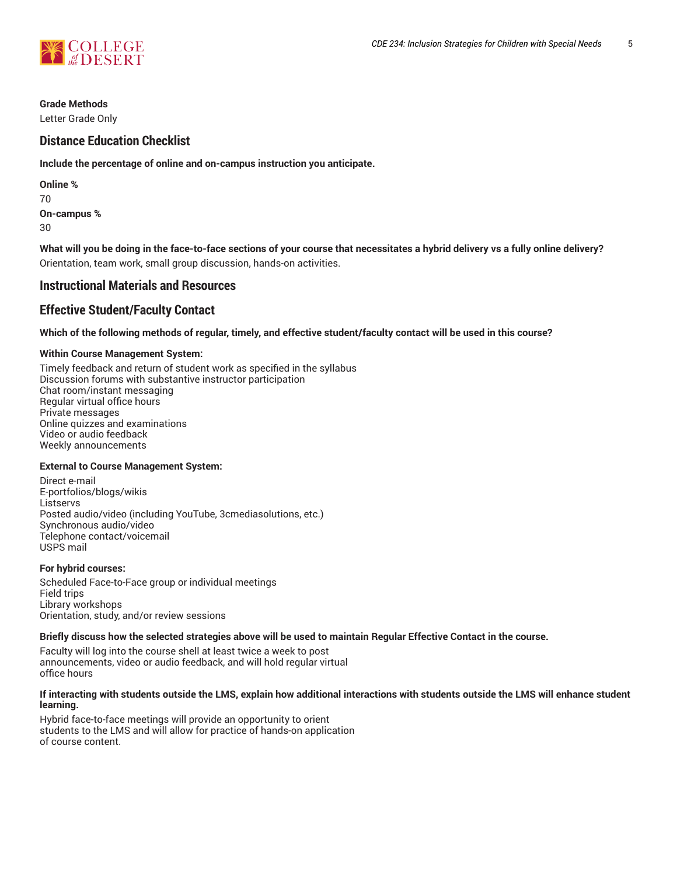

# **Grade Methods**

Letter Grade Only

# **Distance Education Checklist**

**Include the percentage of online and on-campus instruction you anticipate.**

| Online %    |
|-------------|
| 70          |
| On-campus % |
| 30          |

What will you be doing in the face-to-face sections of your course that necessitates a hybrid delivery vs a fully online delivery? Orientation, team work, small group discussion, hands-on activities.

# **Instructional Materials and Resources**

# **Effective Student/Faculty Contact**

Which of the following methods of regular, timely, and effective student/faculty contact will be used in this course?

# **Within Course Management System:**

Timely feedback and return of student work as specified in the syllabus Discussion forums with substantive instructor participation Chat room/instant messaging Regular virtual office hours Private messages Online quizzes and examinations Video or audio feedback Weekly announcements

# **External to Course Management System:**

Direct e-mail E-portfolios/blogs/wikis **Listservs** Posted audio/video (including YouTube, 3cmediasolutions, etc.) Synchronous audio/video Telephone contact/voicemail USPS mail

# **For hybrid courses:**

Scheduled Face-to-Face group or individual meetings Field trips Library workshops Orientation, study, and/or review sessions

# Briefly discuss how the selected strategies above will be used to maintain Regular Effective Contact in the course.

Faculty will log into the course shell at least twice a week to post announcements, video or audio feedback, and will hold regular virtual office hours

#### **If interacting with students outside the LMS, explain how additional interactions with students outside the LMS will enhance student learning.**

Hybrid face-to-face meetings will provide an opportunity to orient students to the LMS and will allow for practice of hands-on application of course content.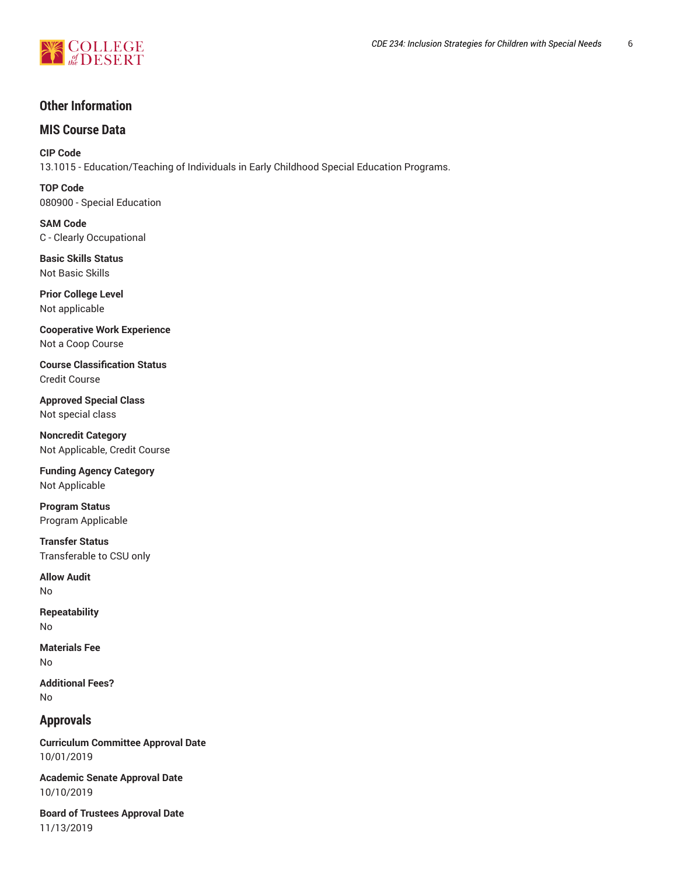

# **Other Information**

# **MIS Course Data**

**CIP Code** 13.1015 - Education/Teaching of Individuals in Early Childhood Special Education Programs.

**TOP Code** 080900 - Special Education

**SAM Code** C - Clearly Occupational

**Basic Skills Status** Not Basic Skills

**Prior College Level** Not applicable

**Cooperative Work Experience** Not a Coop Course

**Course Classification Status** Credit Course

**Approved Special Class** Not special class

**Noncredit Category** Not Applicable, Credit Course

**Funding Agency Category** Not Applicable

**Program Status** Program Applicable

**Transfer Status** Transferable to CSU only

**Allow Audit** No

**Repeatability** No

**Materials Fee** No

**Additional Fees?** No

# **Approvals**

**Curriculum Committee Approval Date** 10/01/2019

**Academic Senate Approval Date** 10/10/2019

**Board of Trustees Approval Date** 11/13/2019